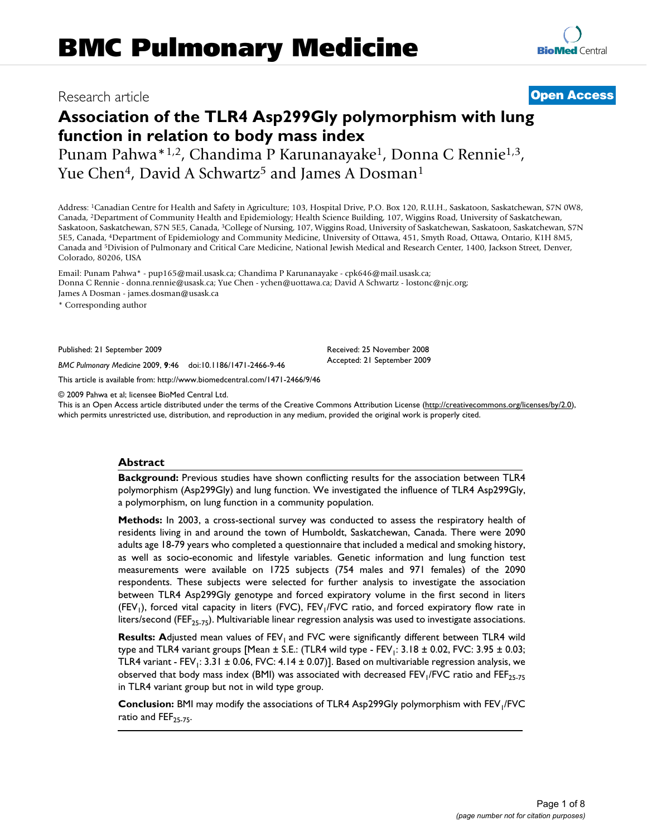## Research article **[Open Access](http://www.biomedcentral.com/info/about/charter/)**

**[BioMed](http://www.biomedcentral.com/)** Central

# **Association of the TLR4 Asp299Gly polymorphism with lung function in relation to body mass index**

Punam Pahwa\*<sup>1,2</sup>, Chandima P Karunanayake<sup>1</sup>, Donna C Rennie<sup>1,3</sup>, Yue Chen<sup>4</sup>, David A Schwartz<sup>5</sup> and James A Dosman<sup>1</sup>

Address: 1Canadian Centre for Health and Safety in Agriculture; 103, Hospital Drive, P.O. Box 120, R.U.H., Saskatoon, Saskatchewan, S7N 0W8, Canada, 2Department of Community Health and Epidemiology; Health Science Building, 107, Wiggins Road, University of Saskatchewan, Saskatoon, Saskatchewan, S7N 5E5, Canada, 3College of Nursing, 107, Wiggins Road, University of Saskatchewan, Saskatoon, Saskatchewan, S7N 5E5, Canada, 4Department of Epidemiology and Community Medicine, University of Ottawa, 451, Smyth Road, Ottawa, Ontario, K1H 8M5, Canada and 5Division of Pulmonary and Critical Care Medicine, National Jewish Medical and Research Center, 1400, Jackson Street, Denver, Colorado, 80206, USA

Email: Punam Pahwa\* - pup165@mail.usask.ca; Chandima P Karunanayake - cpk646@mail.usask.ca; Donna C Rennie - donna.rennie@usask.ca; Yue Chen - ychen@uottawa.ca; David A Schwartz - lostonc@njc.org; James A Dosman - james.dosman@usask.ca

\* Corresponding author

Published: 21 September 2009

*BMC Pulmonary Medicine* 2009, **9**:46 doi:10.1186/1471-2466-9-46

[This article is available from: http://www.biomedcentral.com/1471-2466/9/46](http://www.biomedcentral.com/1471-2466/9/46)

© 2009 Pahwa et al; licensee BioMed Central Ltd.

This is an Open Access article distributed under the terms of the Creative Commons Attribution License [\(http://creativecommons.org/licenses/by/2.0\)](http://creativecommons.org/licenses/by/2.0), which permits unrestricted use, distribution, and reproduction in any medium, provided the original work is properly cited.

Received: 25 November 2008 Accepted: 21 September 2009

#### **Abstract**

**Background:** Previous studies have shown conflicting results for the association between TLR4 polymorphism (Asp299Gly) and lung function. We investigated the influence of TLR4 Asp299Gly, a polymorphism, on lung function in a community population.

**Methods:** In 2003, a cross-sectional survey was conducted to assess the respiratory health of residents living in and around the town of Humboldt, Saskatchewan, Canada. There were 2090 adults age 18-79 years who completed a questionnaire that included a medical and smoking history, as well as socio-economic and lifestyle variables. Genetic information and lung function test measurements were available on 1725 subjects (754 males and 971 females) of the 2090 respondents. These subjects were selected for further analysis to investigate the association between TLR4 Asp299Gly genotype and forced expiratory volume in the first second in liters (FEV<sub>1</sub>), forced vital capacity in liters (FVC), FEV<sub>1</sub>/FVC ratio, and forced expiratory flow rate in liters/second (FEF<sub>25-75</sub>). Multivariable linear regression analysis was used to investigate associations.

**Results: Adjusted mean values of FEV<sub>1</sub>** and FVC were significantly different between TLR4 wild type and TLR4 variant groups [Mean  $\pm$  S.E.: (TLR4 wild type - FEV<sub>1</sub>: 3.18  $\pm$  0.02, FVC: 3.95  $\pm$  0.03; TLR4 variant - FEV<sub>1</sub>: 3.31  $\pm$  0.06, FVC: 4.14  $\pm$  0.07)]. Based on multivariable regression analysis, we observed that body mass index (BMI) was associated with decreased FEV<sub>1</sub>/FVC ratio and FEF<sub>25-75</sub> in TLR4 variant group but not in wild type group.

**Conclusion:** BMI may modify the associations of TLR4 Asp299Gly polymorphism with FEV<sub>1</sub>/FVC ratio and  $FEF_{25-75}$ .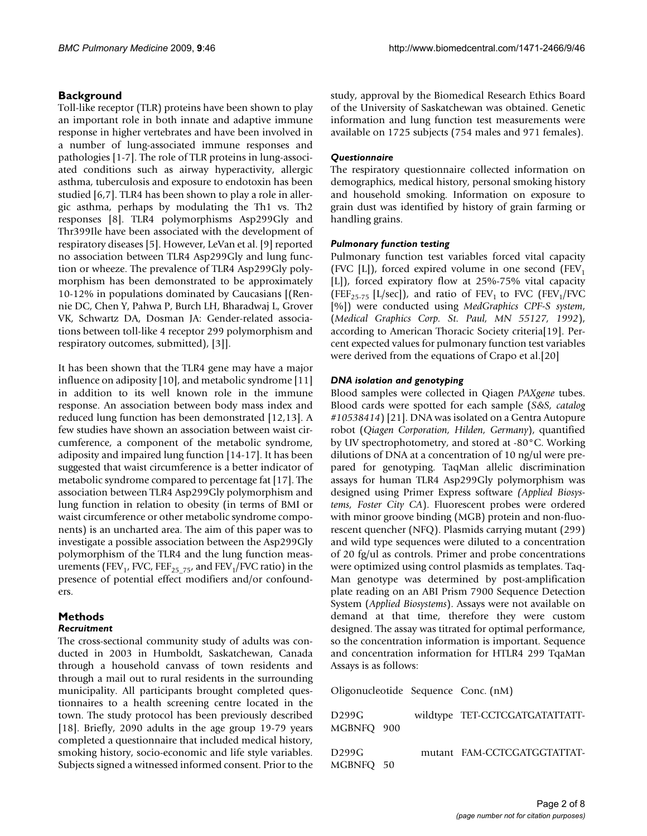#### **Background**

Toll-like receptor (TLR) proteins have been shown to play an important role in both innate and adaptive immune response in higher vertebrates and have been involved in a number of lung-associated immune responses and pathologies [1-7]. The role of TLR proteins in lung-associated conditions such as airway hyperactivity, allergic asthma, tuberculosis and exposure to endotoxin has been studied [6,7]. TLR4 has been shown to play a role in allergic asthma, perhaps by modulating the Th1 vs. Th2 responses [8]. TLR4 polymorphisms Asp299Gly and Thr399Ile have been associated with the development of respiratory diseases [5]. However, LeVan et al. [9] reported no association between TLR4 Asp299Gly and lung function or wheeze. The prevalence of TLR4 Asp299Gly polymorphism has been demonstrated to be approximately 10-12% in populations dominated by Caucasians [(Rennie DC, Chen Y, Pahwa P, Burch LH, Bharadwaj L, Grover VK, Schwartz DA, Dosman JA: Gender-related associations between toll-like 4 receptor 299 polymorphism and respiratory outcomes, submitted), [3]].

It has been shown that the TLR4 gene may have a major influence on adiposity [10], and metabolic syndrome [11] in addition to its well known role in the immune response. An association between body mass index and reduced lung function has been demonstrated [12,13]. A few studies have shown an association between waist circumference, a component of the metabolic syndrome, adiposity and impaired lung function [14-17]. It has been suggested that waist circumference is a better indicator of metabolic syndrome compared to percentage fat [17]. The association between TLR4 Asp299Gly polymorphism and lung function in relation to obesity (in terms of BMI or waist circumference or other metabolic syndrome components) is an uncharted area. The aim of this paper was to investigate a possible association between the Asp299Gly polymorphism of the TLR4 and the lung function measurements (FEV<sub>1</sub>, FVC, FEF<sub>25, 75</sub>, and FEV<sub>1</sub>/FVC ratio) in the presence of potential effect modifiers and/or confounders.

### **Methods**

#### *Recruitment*

The cross-sectional community study of adults was conducted in 2003 in Humboldt, Saskatchewan, Canada through a household canvass of town residents and through a mail out to rural residents in the surrounding municipality. All participants brought completed questionnaires to a health screening centre located in the town. The study protocol has been previously described [18]. Briefly, 2090 adults in the age group 19-79 years completed a questionnaire that included medical history, smoking history, socio-economic and life style variables. Subjects signed a witnessed informed consent. Prior to the study, approval by the Biomedical Research Ethics Board of the University of Saskatchewan was obtained. Genetic information and lung function test measurements were available on 1725 subjects (754 males and 971 females).

#### *Questionnaire*

The respiratory questionnaire collected information on demographics, medical history, personal smoking history and household smoking. Information on exposure to grain dust was identified by history of grain farming or handling grains.

#### *Pulmonary function testing*

Pulmonary function test variables forced vital capacity (FVC [L]), forced expired volume in one second (FEV<sub>1</sub>) [L]), forced expiratory flow at 25%-75% vital capacity (FEF<sub>25-75</sub> [L/sec]), and ratio of FEV<sub>1</sub> to FVC (FEV<sub>1</sub>/FVC [%]) were conducted using *MedGraphics CPF-S system*, (*Medical Graphics Corp. St. Paul, MN 55127, 1992*), according to American Thoracic Society criteria[\[19](#page-7-0)]. Percent expected values for pulmonary function test variables were derived from the equations of Crapo et al.[20]

#### *DNA isolation and genotyping*

Blood samples were collected in Qiagen *PAXgene* tubes. Blood cards were spotted for each sample (*S&S, catalog #10538414*) [21]. DNA was isolated on a Gentra Autopure robot (*Qiagen Corporation, Hilden, Germany*), quantified by UV spectrophotometry, and stored at -80°C. Working dilutions of DNA at a concentration of 10 ng/ul were prepared for genotyping. TaqMan allelic discrimination assays for human TLR4 Asp299Gly polymorphism was designed using Primer Express software *(Applied Biosystems, Foster City CA*). Fluorescent probes were ordered with minor groove binding (MGB) protein and non-fluorescent quencher (NFQ). Plasmids carrying mutant (299) and wild type sequences were diluted to a concentration of 20 fg/ul as controls. Primer and probe concentrations were optimized using control plasmids as templates. Taq-Man genotype was determined by post-amplification plate reading on an ABI Prism 7900 Sequence Detection System (*Applied Biosystems*). Assays were not available on demand at that time, therefore they were custom designed. The assay was titrated for optimal performance, so the concentration information is important. Sequence and concentration information for HTLR4 299 TqaMan Assays is as follows:

Oligonucleotide Sequence Conc. (nM)

| D299G<br>MGBNFO 900 |  | wildtype TET-CCTCGATGATATTATT- |
|---------------------|--|--------------------------------|
| D299G<br>MGBNFO 50  |  | mutant FAM-CCTCGATGGTATTAT-    |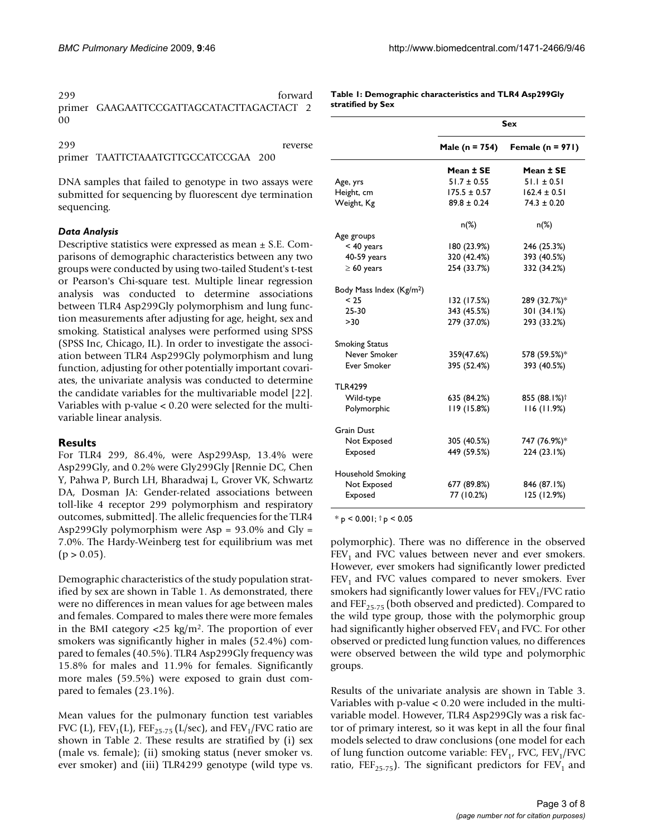| 299 | forward                                  |
|-----|------------------------------------------|
|     | primer GAAGAATTCCGATTAGCATACTTAGACTACT 2 |
| 00  |                                          |

299 reverse primer TAATTCTAAATGTTGCCATCCGAA 200

DNA samples that failed to genotype in two assays were submitted for sequencing by fluorescent dye termination sequencing.

#### *Data Analysis*

Descriptive statistics were expressed as mean ± S.E. Comparisons of demographic characteristics between any two groups were conducted by using two-tailed Student's t-test or Pearson's Chi-square test. Multiple linear regression analysis was conducted to determine associations between TLR4 Asp299Gly polymorphism and lung function measurements after adjusting for age, height, sex and smoking. Statistical analyses were performed using SPSS (SPSS Inc, Chicago, IL). In order to investigate the association between TLR4 Asp299Gly polymorphism and lung function, adjusting for other potentially important covariates, the univariate analysis was conducted to determine the candidate variables for the multivariable model [22]. Variables with p-value < 0.20 were selected for the multivariable linear analysis.

### **Results**

For TLR4 299, 86.4%, were Asp299Asp, 13.4% were Asp299Gly, and 0.2% were Gly299Gly [Rennie DC, Chen Y, Pahwa P, Burch LH, Bharadwaj L, Grover VK, Schwartz DA, Dosman JA: Gender-related associations between toll-like 4 receptor 299 polymorphism and respiratory outcomes, submitted]. The allelic frequencies for the TLR4 Asp299Gly polymorphism were Asp =  $93.0\%$  and Gly = 7.0%. The Hardy-Weinberg test for equilibrium was met  $(p > 0.05)$ .

Demographic characteristics of the study population stratified by sex are shown in Table 1. As demonstrated, there were no differences in mean values for age between males and females. Compared to males there were more females in the BMI category  $\langle 25 \text{ kg/m}^2 \rangle$ . The proportion of ever smokers was significantly higher in males (52.4%) compared to females (40.5%). TLR4 Asp299Gly frequency was 15.8% for males and 11.9% for females. Significantly more males (59.5%) were exposed to grain dust compared to females (23.1%).

Mean values for the pulmonary function test variables FVC (L),  $FEV_1(L)$ ,  $FEF_{25-75}$  (L/sec), and  $FEV_1/FVC$  ratio are shown in Table 2. These results are stratified by (i) sex (male vs. female); (ii) smoking status (never smoker vs. ever smoker) and (iii) TLR4299 genotype (wild type vs.

**Table 1: Demographic characteristics and TLR4 Asp299Gly stratified by Sex**

|                                      | Sex              |                                 |  |
|--------------------------------------|------------------|---------------------------------|--|
|                                      |                  | Male (n = 754) Female (n = 971) |  |
|                                      | Mean ± SE        | Mean ± SE                       |  |
| Age, yrs                             | $51.7 \pm 0.55$  | $51.1 \pm 0.51$                 |  |
| Height, cm                           | $175.5 \pm 0.57$ | $162.4 \pm 0.51$                |  |
| Weight, Kg                           | $89.8 \pm 0.24$  | $74.3 \pm 0.20$                 |  |
|                                      | $n(\%)$          | $n(\%)$                         |  |
| Age groups                           |                  |                                 |  |
| $<$ 40 years                         | 180 (23.9%)      | 246 (25.3%)                     |  |
| 40-59 years                          | 320 (42.4%)      | 393 (40.5%)                     |  |
| $\geq 60$ years                      | 254 (33.7%)      | 332 (34.2%)                     |  |
| Body Mass Index (Kg/m <sup>2</sup> ) |                  |                                 |  |
| < 25                                 | 132 (17.5%)      | 289 (32.7%)*                    |  |
| 25-30                                | 343 (45.5%)      | 301 (34.1%)                     |  |
| >30                                  | 279 (37.0%)      | 293 (33.2%)                     |  |
| <b>Smoking Status</b>                |                  |                                 |  |
| Never Smoker                         | 359(47.6%)       | 578 (59.5%)*                    |  |
| <b>Ever Smoker</b>                   | 395 (52.4%)      | 393 (40.5%)                     |  |
| <b>TLR4299</b>                       |                  |                                 |  |
| Wild-type                            | 635 (84.2%)      | 855 (88.1%) <sup>†</sup>        |  |
| Polymorphic                          | 119(15.8%)       | 116(11.9%)                      |  |
| <b>Grain Dust</b>                    |                  |                                 |  |
| Not Exposed                          | 305 (40.5%)      | 747 (76.9%)*                    |  |
| Exposed                              | 449 (59.5%)      | 224 (23.1%)                     |  |
| Household Smoking                    |                  |                                 |  |
| Not Exposed                          | 677 (89.8%)      | 846 (87.1%)                     |  |
| Exposed                              | 77 (10.2%)       | 125 (12.9%)                     |  |

\* p < 0.001; † p < 0.05

polymorphic). There was no difference in the observed FEV<sub>1</sub> and FVC values between never and ever smokers. However, ever smokers had significantly lower predicted  $FEV<sub>1</sub>$  and FVC values compared to never smokers. Ever smokers had significantly lower values for  $FEV<sub>1</sub>/FVC$  ratio and FEF<sub>25-75</sub> (both observed and predicted). Compared to the wild type group, those with the polymorphic group had significantly higher observed  $FEV<sub>1</sub>$  and FVC. For other observed or predicted lung function values, no differences were observed between the wild type and polymorphic groups.

Results of the univariate analysis are shown in Table 3. Variables with p-value < 0.20 were included in the multivariable model. However, TLR4 Asp299Gly was a risk factor of primary interest, so it was kept in all the four final models selected to draw conclusions (one model for each of lung function outcome variable:  $FEV<sub>1</sub>$ , FVC,  $FEV<sub>1</sub>/FVC$ ratio, FEF<sub>25-75</sub>). The significant predictors for FEV<sub>1</sub> and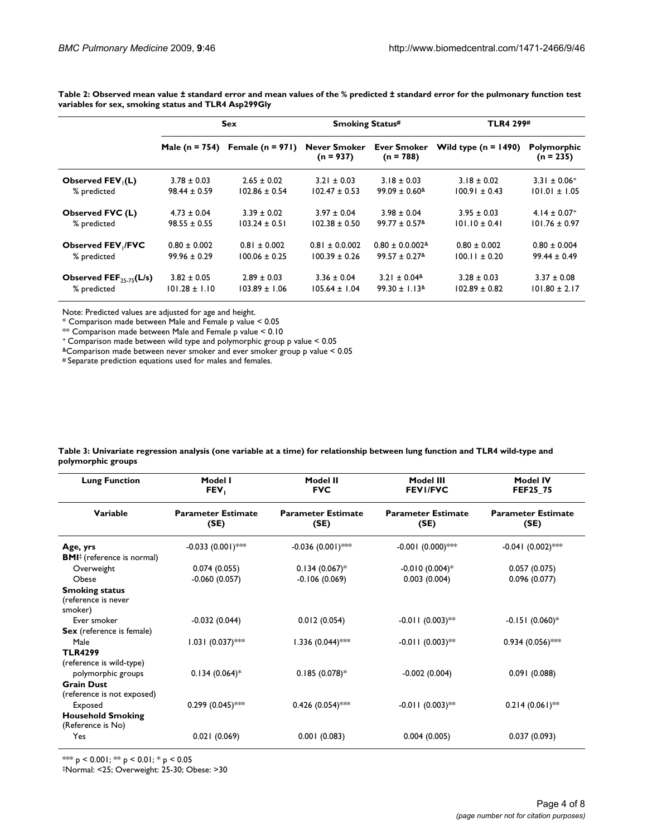**Table 2: Observed mean value ± standard error and mean values of the % predicted ± standard error for the pulmonary function test variables for sex, smoking status and TLR4 Asp299Gly**

|                                               | <b>Sex</b>         |                      | <b>Smoking Status#</b>             |                                     | <b>TLR4 299#</b>       |                              |
|-----------------------------------------------|--------------------|----------------------|------------------------------------|-------------------------------------|------------------------|------------------------------|
|                                               | Male ( $n = 754$ ) | Female ( $n = 971$ ) | <b>Never Smoker</b><br>$(n = 937)$ | <b>Ever Smoker</b><br>$(n = 788)$   | Wild type $(n = 1490)$ | Polymorphic<br>$(n = 235)$   |
| Observed FEV <sub>(L)</sub>                   | $3.78 \pm 0.03$    | $2.65 \pm 0.02$      | $3.21 \pm 0.03$                    | $3.18 \pm 0.03$                     | $3.18 \pm 0.02$        | $3.31 \pm 0.06^+$            |
| % predicted                                   | $98.44 \pm 0.59$   | $102.86 \pm 0.54$    | $102.47 \pm 0.53$                  | $99.09 \pm 0.60$ <sup>&amp;</sup>   | $100.91 \pm 0.43$      | $101.01 \pm 1.05$            |
| <b>Observed FVC (L)</b>                       | $4.73 \pm 0.04$    | $3.39 \pm 0.02$      | $3.97 \pm 0.04$                    | $3.98 \pm 0.04$                     | $3.95 \pm 0.03$        | $4.14 \pm 0.07$ <sup>+</sup> |
| % predicted                                   | $98.55 \pm 0.55$   | $103.24 \pm 0.51$    | $102.38 \pm 0.50$                  | $99.77 \pm 0.57$ <sup>&amp;</sup>   | $101.10 \pm 0.41$      | $101.76 \pm 0.97$            |
| <b>Observed FEV /FVC</b>                      | $0.80 \pm 0.002$   | $0.81 \pm 0.002$     | $0.81 \pm 0.0.002$                 | $0.80 \pm 0.0.002$ <sup>&amp;</sup> | $0.80 \pm 0.002$       | $0.80 \pm 0.004$             |
| % predicted                                   | $99.96 \pm 0.29$   | $100.06 \pm 0.25$    | $100.39 \pm 0.26$                  | $99.57 \pm 0.27$ <sup>&amp;</sup>   | $100.11 \pm 0.20$      | $99.44 \pm 0.49$             |
| Observed $\mathsf{FEF}_{25,75}(\mathsf{L/s})$ | $3.82 \pm 0.05$    | $2.89 \pm 0.03$      | $3.36 \pm 0.04$                    | $3.21 \pm 0.04$                     | $3.28 \pm 0.03$        | $3.37 \pm 0.08$              |
| % predicted                                   | $101.28 \pm 1.10$  | $103.89 \pm 1.06$    | $105.64 \pm 1.04$                  | $99.30 \pm 1.13$ <sup>&amp;</sup>   | $102.89 \pm 0.82$      | $101.80 \pm 2.17$            |

Note: Predicted values are adjusted for age and height.

\* Comparison made between Male and Female p value < 0.05

\*\* Comparison made between Male and Female p value < 0.10

+ Comparison made between wild type and polymorphic group p value < 0.05

&Comparison made between never smoker and ever smoker group p value < 0.05

# Separate prediction equations used for males and females.

| Table 3: Univariate regression analysis (one variable at a time) for relationship between lung function and TLR4 wild-type and |  |
|--------------------------------------------------------------------------------------------------------------------------------|--|
| polymorphic groups                                                                                                             |  |

| Model I<br>FEV,                   | Model II<br><b>FVC</b>             | Model III<br><b>FEVI/FVC</b>      | <b>Model IV</b><br>FEF25_75           |
|-----------------------------------|------------------------------------|-----------------------------------|---------------------------------------|
| <b>Parameter Estimate</b><br>(SE) | <b>Parameter Estimate</b><br>(SE)  | <b>Parameter Estimate</b><br>(SE) | <b>Parameter Estimate</b><br>(SE)     |
| $-0.033(0.001)$ ***               | $-0.036(0.001)$ ***                | $-0.001$ (0.000)***               | $-0.041$ (0.002)***                   |
| 0.074(0.055)                      | $0.134(0.067)$ *                   | $-0.010(0.004)$ <sup>*</sup>      | 0.057(0.075)                          |
| $-0.060(0.057)$                   | $-0.106(0.069)$                    | 0.003(0.004)                      | 0.096(0.077)                          |
|                                   |                                    |                                   |                                       |
|                                   |                                    |                                   | $-0.151(0.060)$ <sup>*</sup>          |
| $1.031 (0.037)$ **                | $1.336(0.044)$ **                  | $-0.011(0.003)$ **                | $0.934(0.056)$ ***                    |
|                                   |                                    |                                   |                                       |
|                                   |                                    |                                   | 0.091(0.088)                          |
|                                   |                                    |                                   |                                       |
|                                   |                                    |                                   |                                       |
| $0.299(0.045)$ **                 | $0.426$ (0.054)***                 | $-0.011(0.003)$ **                | $0.214(0.061)$ **                     |
|                                   |                                    |                                   |                                       |
| 0.021(0.069)                      | 0.001(0.083)                       | 0.004(0.005)                      | 0.037(0.093)                          |
|                                   | $-0.032(0.044)$<br>$0.134(0.064)*$ | 0.012(0.054)<br>$0.185(0.078)*$   | $-0.011(0.003)$ **<br>$-0.002(0.004)$ |

\*\*\*  $p$  < 0.001; \*\*  $p$  < 0.01; \*  $p$  < 0.05

‡Normal: <25; Overweight: 25-30; Obese: >30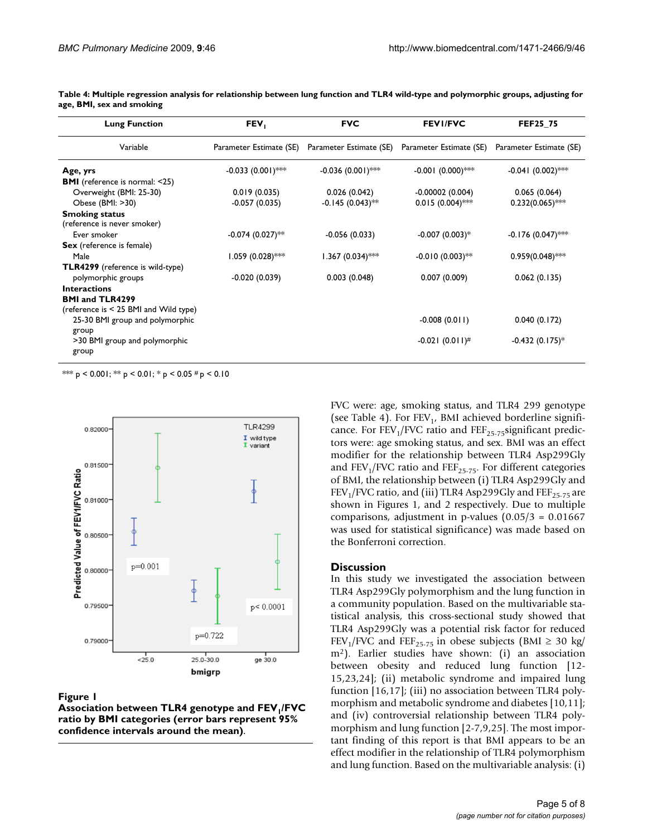| <b>Lung Function</b>                                 | FEV,                    | <b>FVC</b>              | <b>FEVI/FVC</b>         | <b>FEF25_75</b>              |
|------------------------------------------------------|-------------------------|-------------------------|-------------------------|------------------------------|
| Variable                                             | Parameter Estimate (SE) | Parameter Estimate (SE) | Parameter Estimate (SE) | Parameter Estimate (SE)      |
| Age, yrs                                             | $-0.033(0.001)$ ***     | $-0.036(0.001)$ ***     | $-0.001$ (0.000)***     | $-0.041(0.002)$ ***          |
| <b>BMI</b> (reference is normal: <25)                |                         |                         |                         |                              |
| Overweight (BMI: 25-30)                              | 0.019(0.035)            | 0.026(0.042)            | $-0.00002(0.004)$       | 0.065(0.064)                 |
| Obese (BMI: >30)                                     | $-0.057(0.035)$         | $-0.145(0.043)$ **      | $0.015(0.004)$ **       | $0.232(0.065)$ **            |
| <b>Smoking status</b><br>(reference is never smoker) |                         |                         |                         |                              |
| Ever smoker                                          | $-0.074(0.027)$ **      | $-0.056(0.033)$         | $-0.007(0.003)*$        | $-0.176(0.047)$ **           |
| Sex (reference is female)                            |                         |                         |                         |                              |
| Male                                                 | $1.059(0.028)$ ***      | $1.367(0.034)$ ***      | $-0.010(0.003)$ **      | $0.959(0.048)$ **            |
| <b>TLR4299</b> (reference is wild-type)              |                         |                         |                         |                              |
| polymorphic groups                                   | $-0.020(0.039)$         | 0.003(0.048)            | 0.007(0.009)            | 0.062(0.135)                 |
| <b>Interactions</b>                                  |                         |                         |                         |                              |
| <b>BMI and TLR4299</b>                               |                         |                         |                         |                              |
| (reference is $<$ 25 BMI and Wild type)              |                         |                         |                         |                              |
| 25-30 BMI group and polymorphic                      |                         |                         | $-0.008(0.011)$         | 0.040(0.172)                 |
| group<br>>30 BMI group and polymorphic               |                         |                         | $-0.021(0.011)^{#}$     | $-0.432(0.175)$ <sup>*</sup> |
| group                                                |                         |                         |                         |                              |

**Table 4: Multiple regression analysis for relationship between lung function and TLR4 wild-type and polymorphic groups, adjusting for age, BMI, sex and smoking**

\*\*\* p < 0.001; \*\* p < 0.01; \* p < 0.05 # p < 0.10



Association between TLR4 genotype and FEV1 BMI categories (error bars re vals around the mean) **Figure 1** present 95% confidence inter- /FVC ratio by **Association between TLR4 genotype and FEV1/FVC ratio by BMI categories (error bars represent 95% confidence intervals around the mean)**.

FVC were: age, smoking status, and TLR4 299 genotype (see Table 4). For  $FEV<sub>1</sub>$ , BMI achieved borderline significance. For FEV<sub>1</sub>/FVC ratio and FEF<sub>25-75</sub>significant predictors were: age smoking status, and sex. BMI was an effect modifier for the relationship between TLR4 Asp299Gly and  $FEV_1/FVC$  ratio and  $FEF_{25-75}$ . For different categories of BMI, the relationship between (i) TLR4 Asp299Gly and  $FEV<sub>1</sub>/FVC$  ratio, and (iii) TLR4 Asp299Gly and  $FEF<sub>25-75</sub>$  are shown in Figures 1, and 2 respectively. Due to multiple comparisons, adjustment in p-values  $(0.05/3 = 0.01667)$ was used for statistical significance) was made based on the Bonferroni correction.

#### **Discussion**

In this study we investigated the association between TLR4 Asp299Gly polymorphism and the lung function in a community population. Based on the multivariable statistical analysis, this cross-sectional study showed that TLR4 Asp299Gly was a potential risk factor for reduced FEV<sub>1</sub>/FVC and FEF<sub>25-75</sub> in obese subjects (BMI  $\geq$  30 kg/ m2). Earlier studies have shown: (i) an association between obesity and reduced lung function [12- 15,23,24]; (ii) metabolic syndrome and impaired lung function [16,17]; (iii) no association between TLR4 polymorphism and metabolic syndrome and diabetes [10,11]; and (iv) controversial relationship between TLR4 polymorphism and lung function [2-7,9,25]. The most important finding of this report is that BMI appears to be an effect modifier in the relationship of TLR4 polymorphism and lung function. Based on the multivariable analysis: (i)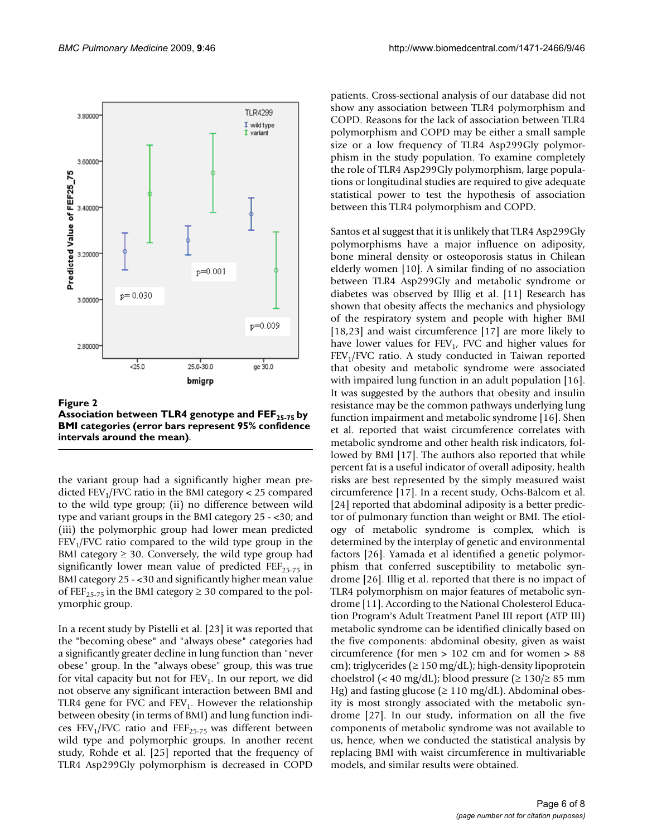

Figure 2

Association between TLR4 genotype and FEF<sub>25-75</sub> by **BMI categories (error bars represent 95% confidence intervals around the mean)**.

the variant group had a significantly higher mean predicted  $FEV<sub>1</sub>/FVC$  ratio in the BMI category < 25 compared to the wild type group; (ii) no difference between wild type and variant groups in the BMI category 25 - <30; and (iii) the polymorphic group had lower mean predicted  $FEV<sub>1</sub>/FVC$  ratio compared to the wild type group in the BMI category  $\geq$  30. Conversely, the wild type group had significantly lower mean value of predicted FEF<sub>25-75</sub> in BMI category 25 - <30 and significantly higher mean value of FEF<sub>25-75</sub> in the BMI category  $\geq$  30 compared to the polymorphic group.

In a recent study by Pistelli et al. [23] it was reported that the "becoming obese" and "always obese" categories had a significantly greater decline in lung function than "never obese" group. In the "always obese" group, this was true for vital capacity but not for  $FEV<sub>1</sub>$ . In our report, we did not observe any significant interaction between BMI and TLR4 gene for FVC and  $FEV<sub>1</sub>$ . However the relationship between obesity (in terms of BMI) and lung function indices  $FEV_1/FVC$  ratio and  $FEF_{25-75}$  was different between wild type and polymorphic groups. In another recent study, Rohde et al. [25] reported that the frequency of TLR4 Asp299Gly polymorphism is decreased in COPD

patients. Cross-sectional analysis of our database did not show any association between TLR4 polymorphism and COPD. Reasons for the lack of association between TLR4 polymorphism and COPD may be either a small sample size or a low frequency of TLR4 Asp299Gly polymorphism in the study population. To examine completely the role of TLR4 Asp299Gly polymorphism, large populations or longitudinal studies are required to give adequate statistical power to test the hypothesis of association between this TLR4 polymorphism and COPD.

Santos et al suggest that it is unlikely that TLR4 Asp299Gly polymorphisms have a major influence on adiposity, bone mineral density or osteoporosis status in Chilean elderly women [10]. A similar finding of no association between TLR4 Asp299Gly and metabolic syndrome or diabetes was observed by Illig et al. [11] Research has shown that obesity affects the mechanics and physiology of the respiratory system and people with higher BMI [18,23] and waist circumference [17] are more likely to have lower values for  $FEV<sub>1</sub>$ , FVC and higher values for  $FEV<sub>1</sub>/FVC$  ratio. A study conducted in Taiwan reported that obesity and metabolic syndrome were associated with impaired lung function in an adult population [16]. It was suggested by the authors that obesity and insulin resistance may be the common pathways underlying lung function impairment and metabolic syndrome [16]. Shen et al. reported that waist circumference correlates with metabolic syndrome and other health risk indicators, followed by BMI [17]. The authors also reported that while percent fat is a useful indicator of overall adiposity, health risks are best represented by the simply measured waist circumference [17]. In a recent study, Ochs-Balcom et al. [24] reported that abdominal adiposity is a better predictor of pulmonary function than weight or BMI. The etiology of metabolic syndrome is complex, which is determined by the interplay of genetic and environmental factors [26]. Yamada et al identified a genetic polymorphism that conferred susceptibility to metabolic syndrome [26]. Illig et al. reported that there is no impact of TLR4 polymorphism on major features of metabolic syndrome [11]. According to the National Cholesterol Education Program's Adult Treatment Panel III report (ATP III) metabolic syndrome can be identified clinically based on the five components: abdominal obesity, given as waist circumference (for men > 102 cm and for women > 88 cm); triglycerides ( $\geq$  150 mg/dL); high-density lipoprotein choelstrol (< 40 mg/dL); blood pressure ( $\geq$  130/ $\geq$  85 mm Hg) and fasting glucose ( $\geq 110 \text{ mg/dL}$ ). Abdominal obesity is most strongly associated with the metabolic syndrome [27]. In our study, information on all the five components of metabolic syndrome was not available to us, hence, when we conducted the statistical analysis by replacing BMI with waist circumference in multivariable models, and similar results were obtained.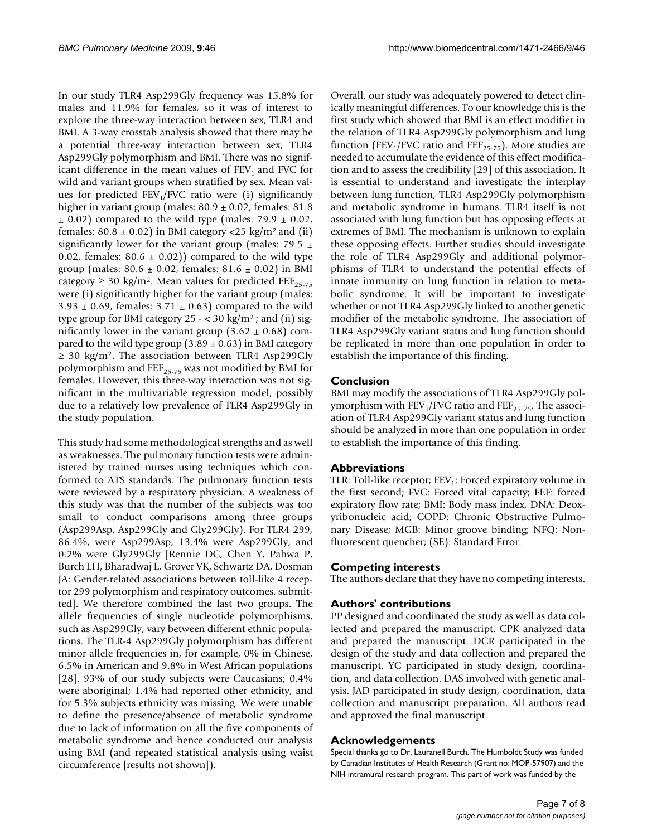In our study TLR4 Asp299Gly frequency was 15.8% for males and 11.9% for females, so it was of interest to explore the three-way interaction between sex, TLR4 and BMI. A 3-way crosstab analysis showed that there may be a potential three-way interaction between sex, TLR4 Asp299Gly polymorphism and BMI. There was no significant difference in the mean values of  $FEV<sub>1</sub>$  and FVC for wild and variant groups when stratified by sex. Mean values for predicted  $FEV<sub>1</sub>/FVC$  ratio were (i) significantly higher in variant group (males:  $80.9 \pm 0.02$ , females:  $81.8$  $\pm$  0.02) compared to the wild type (males: 79.9  $\pm$  0.02, females:  $80.8 \pm 0.02$ ) in BMI category <25 kg/m<sup>2</sup> and (ii) significantly lower for the variant group (males: 79.5  $\pm$ 0.02, females:  $80.6 \pm 0.02$ ) compared to the wild type group (males:  $80.6 \pm 0.02$ , females:  $81.6 \pm 0.02$ ) in BMI category  $\geq$  30 kg/m<sup>2</sup>. Mean values for predicted FEF<sub>25-75</sub> were (i) significantly higher for the variant group (males:  $3.93 \pm 0.69$ , females:  $3.71 \pm 0.63$ ) compared to the wild type group for BMI category  $25 - < 30 \text{ kg/m}^2$ ; and (ii) significantly lower in the variant group  $(3.62 \pm 0.68)$  compared to the wild type group  $(3.89 \pm 0.63)$  in BMI category  $\geq$  30 kg/m<sup>2</sup>. The association between TLR4 Asp299Gly polymorphism and  $\text{FEF}_{25-75}$  was not modified by BMI for females. However, this three-way interaction was not significant in the multivariable regression model, possibly due to a relatively low prevalence of TLR4 Asp299Gly in the study population.

This study had some methodological strengths and as well as weaknesses. The pulmonary function tests were administered by trained nurses using techniques which conformed to ATS standards. The pulmonary function tests were reviewed by a respiratory physician. A weakness of this study was that the number of the subjects was too small to conduct comparisons among three groups (Asp299Asp, Asp299Gly and Gly299Gly). For TLR4 299, 86.4%, were Asp299Asp, 13.4% were Asp299Gly, and 0.2% were Gly299Gly [Rennie DC, Chen Y, Pahwa P, Burch LH, Bharadwaj L, Grover VK, Schwartz DA, Dosman JA: Gender-related associations between toll-like 4 receptor 299 polymorphism and respiratory outcomes, submitted]. We therefore combined the last two groups. The allele frequencies of single nucleotide polymorphisms, such as Asp299Gly, vary between different ethnic populations. The TLR-4 Asp299Gly polymorphism has different minor allele frequencies in, for example, 0% in Chinese, 6.5% in American and 9.8% in West African populations [28]. 93% of our study subjects were Caucasians; 0.4% were aboriginal; 1.4% had reported other ethnicity, and for 5.3% subjects ethnicity was missing. We were unable to define the presence/absence of metabolic syndrome due to lack of information on all the five components of metabolic syndrome and hence conducted our analysis using BMI (and repeated statistical analysis using waist circumference [results not shown]).

Overall, our study was adequately powered to detect clinically meaningful differences. To our knowledge this is the first study which showed that BMI is an effect modifier in the relation of TLR4 Asp299Gly polymorphism and lung function (FEV<sub>1</sub>/FVC ratio and FEF<sub>25-75</sub>). More studies are needed to accumulate the evidence of this effect modification and to assess the credibility [29] of this association. It is essential to understand and investigate the interplay between lung function, TLR4 Asp299Gly polymorphism and metabolic syndrome in humans. TLR4 itself is not associated with lung function but has opposing effects at extremes of BMI. The mechanism is unknown to explain these opposing effects. Further studies should investigate the role of TLR4 Asp299Gly and additional polymorphisms of TLR4 to understand the potential effects of innate immunity on lung function in relation to metabolic syndrome. It will be important to investigate whether or not TLR4 Asp*299*Gly linked to another genetic modifier of the metabolic syndrome. The association of TLR4 Asp299Gly variant status and lung function should be replicated in more than one population in order to establish the importance of this finding.

### **Conclusion**

BMI may modify the associations of TLR4 Asp299Gly polymorphism with  $FEV_1/FVC$  ratio and  $FEF_{25-75}$ . The association of TLR4 Asp299Gly variant status and lung function should be analyzed in more than one population in order to establish the importance of this finding.

### **Abbreviations**

TLR: Toll-like receptor;  $FEV_1$ : Forced expiratory volume in the first second; FVC: Forced vital capacity; FEF: forced expiratory flow rate; BMI: Body mass index, DNA: Deoxyribonucleic acid; COPD: Chronic Obstructive Pulmonary Disease; MGB: Minor groove binding; NFQ: Nonfluorescent quencher; (SE): Standard Error.

### **Competing interests**

The authors declare that they have no competing interests.

### **Authors' contributions**

PP designed and coordinated the study as well as data collected and prepared the manuscript. CPK analyzed data and prepared the manuscript. DCR participated in the design of the study and data collection and prepared the manuscript. YC participated in study design, coordination, and data collection. DAS involved with genetic analysis. JAD participated in study design, coordination, data collection and manuscript preparation. All authors read and approved the final manuscript.

### **Acknowledgements**

Special thanks go to Dr. Lauranell Burch. The Humboldt Study was funded by Canadian Institutes of Health Research (Grant no: MOP-57907) and the NIH intramural research program. This part of work was funded by the